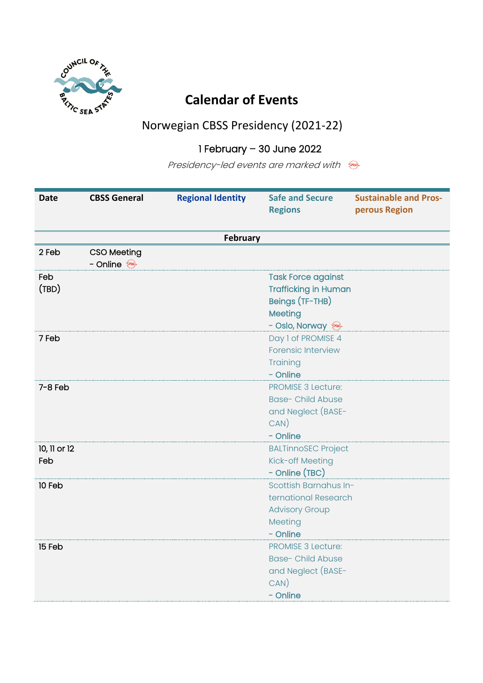

## **Calendar of Events**

## Norwegian CBSS Presidency (2021-22)

## 1 February – 30 June 2022

Presidency-led events are marked with

| <b>Date</b>  | <b>CBSS General</b> | <b>Regional Identity</b> | <b>Safe and Secure</b><br><b>Regions</b> | <b>Sustainable and Pros-</b><br>perous Region |
|--------------|---------------------|--------------------------|------------------------------------------|-----------------------------------------------|
|              |                     |                          |                                          |                                               |
|              |                     | <b>February</b>          |                                          |                                               |
| 2 Feb        | <b>CSO Meeting</b>  |                          |                                          |                                               |
|              | - Online            |                          |                                          |                                               |
| Feb          |                     |                          | <b>Task Force against</b>                |                                               |
| (TBD)        |                     |                          | <b>Trafficking in Human</b>              |                                               |
|              |                     |                          | Beings (TF-THB)                          |                                               |
|              |                     |                          | Meeting                                  |                                               |
|              |                     |                          | - Oslo, Norway                           |                                               |
| 7 Feb        |                     |                          | Day 1 of PROMISE 4                       |                                               |
|              |                     |                          | <b>Forensic Interview</b>                |                                               |
|              |                     |                          | Training                                 |                                               |
|              |                     |                          | - Online                                 |                                               |
| $7 - 8$ Feb  |                     |                          | <b>PROMISE 3 Lecture:</b>                |                                               |
|              |                     |                          | <b>Base- Child Abuse</b>                 |                                               |
|              |                     |                          | and Neglect (BASE-                       |                                               |
|              |                     |                          | CAN)                                     |                                               |
|              |                     |                          | - Online                                 |                                               |
| 10, 11 or 12 |                     |                          | <b>BALTinnoSEC Project</b>               |                                               |
| Feb          |                     |                          | Kick-off Meeting                         |                                               |
|              |                     |                          | - Online (TBC)                           |                                               |
| 10 Feb       |                     |                          | Scottish Barnahus In-                    |                                               |
|              |                     |                          | ternational Research                     |                                               |
|              |                     |                          | <b>Advisory Group</b>                    |                                               |
|              |                     |                          | Meeting                                  |                                               |
|              |                     |                          | - Online                                 |                                               |
| 15 Feb       |                     |                          | <b>PROMISE 3 Lecture:</b>                |                                               |
|              |                     |                          | <b>Base- Child Abuse</b>                 |                                               |
|              |                     |                          | and Neglect (BASE-                       |                                               |
|              |                     |                          | $CAN$ )                                  |                                               |
|              |                     |                          | - Online                                 |                                               |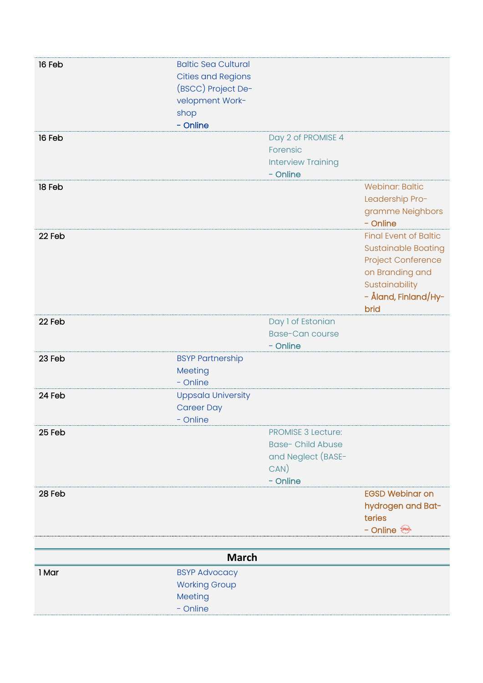| 16 Feb | <b>Baltic Sea Cultural</b> |                           |                              |
|--------|----------------------------|---------------------------|------------------------------|
|        |                            |                           |                              |
|        | <b>Cities and Regions</b>  |                           |                              |
|        | (BSCC) Project De-         |                           |                              |
|        | velopment Work-            |                           |                              |
|        | shop                       |                           |                              |
|        | - Online                   |                           |                              |
| 16 Feb |                            | Day 2 of PROMISE 4        |                              |
|        |                            | Forensic                  |                              |
|        |                            | <b>Interview Training</b> |                              |
|        |                            | - Online                  |                              |
| 18 Feb |                            |                           | <b>Webinar: Baltic</b>       |
|        |                            |                           | Leadership Pro-              |
|        |                            |                           | gramme Neighbors             |
|        |                            |                           | - Online                     |
| 22 Feb |                            |                           | <b>Final Event of Baltic</b> |
|        |                            |                           | <b>Sustainable Boating</b>   |
|        |                            |                           | Project Conference           |
|        |                            |                           | on Branding and              |
|        |                            |                           | Sustainability               |
|        |                            |                           | - Åland, Finland/Hy-         |
|        |                            |                           |                              |
| 22 Feb |                            |                           | brid                         |
|        |                            | Day 1 of Estonian         |                              |
|        |                            | <b>Base-Can course</b>    |                              |
|        |                            | - Online                  |                              |
| 23 Feb | <b>BSYP Partnership</b>    |                           |                              |
|        | Meeting                    |                           |                              |
|        | - Online                   |                           |                              |
| 24 Feb | <b>Uppsala University</b>  |                           |                              |
|        | <b>Career Day</b>          |                           |                              |
|        | - Online                   |                           |                              |
| 25 Feb |                            | <b>PROMISE 3 Lecture:</b> |                              |
|        |                            | <b>Base- Child Abuse</b>  |                              |
|        |                            | and Neglect (BASE-        |                              |
|        |                            | CAN)                      |                              |
|        |                            | - Online                  |                              |
| 28 Feb |                            |                           | <b>EGSD Webinar on</b>       |
|        |                            |                           | hydrogen and Bat-            |
|        |                            |                           | teries                       |
|        |                            |                           | - Online                     |
|        |                            |                           |                              |
|        | <b>March</b>               |                           |                              |
| 1 Mar  | <b>BSYP Advocacy</b>       |                           |                              |
|        | <b>Working Group</b>       |                           |                              |
|        | Meeting                    |                           |                              |
|        | - Online                   |                           |                              |
|        |                            |                           |                              |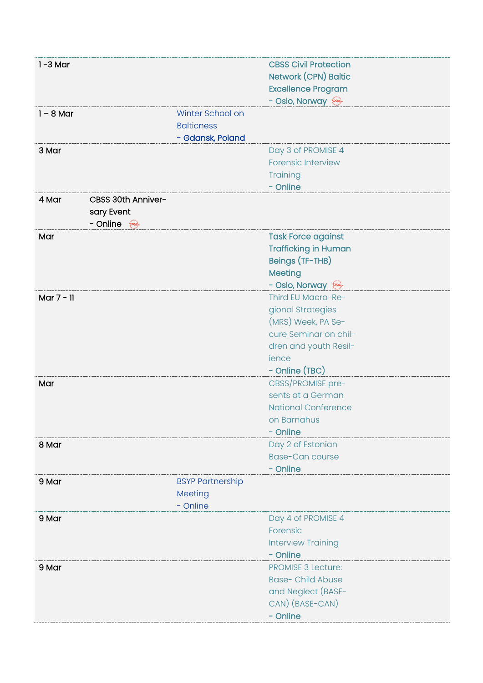| $1 - 3$ Mar  |                    |                         | <b>CBSS Civil Protection</b> |
|--------------|--------------------|-------------------------|------------------------------|
|              |                    |                         | Network (CPN) Baltic         |
|              |                    |                         | <b>Excellence Program</b>    |
|              |                    |                         | - Oslo, Norway               |
| $1 - 8$ Mar  |                    | Winter School on        |                              |
|              |                    | <b>Balticness</b>       |                              |
|              |                    | - Gdansk, Poland        |                              |
| 3 Mar        |                    |                         | Day 3 of PROMISE 4           |
|              |                    |                         | <b>Forensic Interview</b>    |
|              |                    |                         | Training                     |
|              |                    |                         | - Online                     |
| 4 Mar        | CBSS 30th Anniver- |                         |                              |
|              | sary Event         |                         |                              |
|              | - Online           |                         |                              |
| Mar          |                    |                         | <b>Task Force against</b>    |
|              |                    |                         | <b>Trafficking in Human</b>  |
|              |                    |                         | Beings (TF-THB)              |
|              |                    |                         | Meeting                      |
|              |                    |                         | - Oslo, Norway               |
| Mar $7 - 11$ |                    |                         | Third EU Macro-Re-           |
|              |                    |                         | gional Strategies            |
|              |                    |                         | (MRS) Week, PA Se-           |
|              |                    |                         | cure Seminar on chil-        |
|              |                    |                         | dren and youth Resil-        |
|              |                    |                         | ience                        |
|              |                    |                         | - Online (TBC)               |
| Mar          |                    |                         | CBSS/PROMISE pre-            |
|              |                    |                         | sents at a German            |
|              |                    |                         | <b>National Conference</b>   |
|              |                    |                         | on Barnahus                  |
|              |                    |                         | - Online                     |
| 8 Mar        |                    |                         | Day 2 of Estonian            |
|              |                    |                         | <b>Base-Can course</b>       |
|              |                    |                         | - Online                     |
| 9 Mar        |                    | <b>BSYP Partnership</b> |                              |
|              |                    | Meeting                 |                              |
|              |                    | - Online                |                              |
| 9 Mar        |                    |                         | Day 4 of PROMISE 4           |
|              |                    |                         | Forensic                     |
|              |                    |                         | <b>Interview Training</b>    |
|              |                    |                         | - Online                     |
| 9 Mar        |                    |                         | <b>PROMISE 3 Lecture:</b>    |
|              |                    |                         | <b>Base-Child Abuse</b>      |
|              |                    |                         | and Neglect (BASE-           |
|              |                    |                         | CAN) (BASE-CAN)              |
|              |                    |                         | - Online                     |
|              |                    |                         |                              |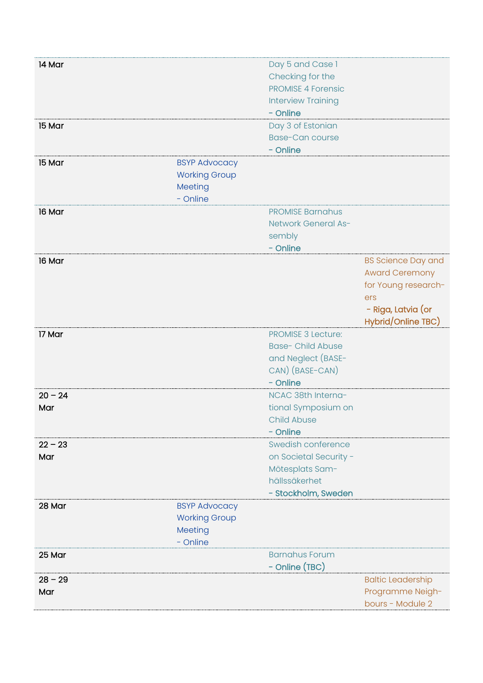| 14 Mar    |                      | Day 5 and Case 1          |                           |
|-----------|----------------------|---------------------------|---------------------------|
|           |                      | Checking for the          |                           |
|           |                      | <b>PROMISE 4 Forensic</b> |                           |
|           |                      | <b>Interview Training</b> |                           |
|           |                      | - Online                  |                           |
| 15 Mar    |                      | Day 3 of Estonian         |                           |
|           |                      | <b>Base-Can course</b>    |                           |
|           |                      | - Online                  |                           |
| 15 Mar    | <b>BSYP Advocacy</b> |                           |                           |
|           | <b>Working Group</b> |                           |                           |
|           | Meeting              |                           |                           |
|           | - Online             |                           |                           |
| 16 Mar    |                      | <b>PROMISE Barnahus</b>   |                           |
|           |                      | Network General As-       |                           |
|           |                      | sembly                    |                           |
|           |                      | - Online                  |                           |
| 16 Mar    |                      |                           | <b>BS Science Day and</b> |
|           |                      |                           | <b>Award Ceremony</b>     |
|           |                      |                           | for Young research-       |
|           |                      |                           | ers                       |
|           |                      |                           | - Riga, Latvia (or        |
|           |                      |                           | Hybrid/Online TBC)        |
| 17 Mar    |                      | <b>PROMISE 3 Lecture:</b> |                           |
|           |                      | <b>Base- Child Abuse</b>  |                           |
|           |                      | and Neglect (BASE-        |                           |
|           |                      | CAN) (BASE-CAN)           |                           |
|           |                      | - Online                  |                           |
| $20 - 24$ |                      | NCAC 38th Interna-        |                           |
| Mar       |                      | tional Symposium on       |                           |
|           |                      | <b>Child Abuse</b>        |                           |
|           |                      | - Online                  |                           |
| $22 - 23$ |                      | Swedish conference        |                           |
| Mar       |                      | on Societal Security -    |                           |
|           |                      | Mötesplats Sam-           |                           |
|           |                      | hällssäkerhet             |                           |
|           |                      | - Stockholm, Sweden       |                           |
| 28 Mar    | <b>BSYP Advocacy</b> |                           |                           |
|           | <b>Working Group</b> |                           |                           |
|           | Meeting              |                           |                           |
|           | - Online             |                           |                           |
| 25 Mar    |                      | <b>Barnahus Forum</b>     |                           |
|           |                      | - Online (TBC)            |                           |
| $28 - 29$ |                      |                           | <b>Baltic Leadership</b>  |
| Mar       |                      |                           | Programme Neigh-          |
|           |                      |                           | bours - Module 2          |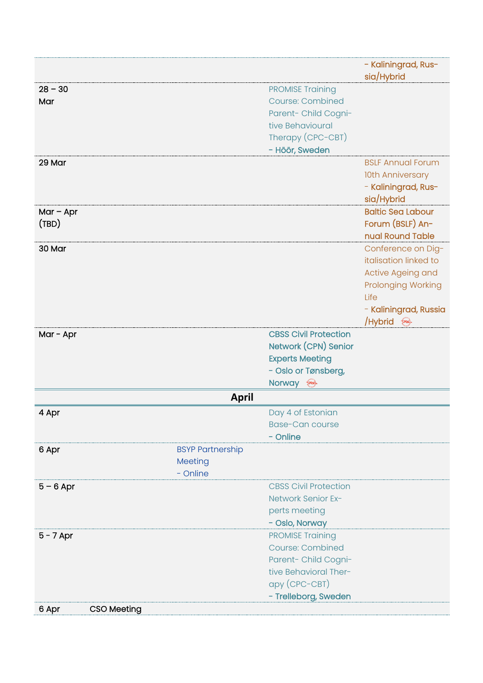|             |                         |                                               | - Kaliningrad, Rus-<br>sia/Hybrid |
|-------------|-------------------------|-----------------------------------------------|-----------------------------------|
| $28 - 30$   |                         | <b>PROMISE Training</b>                       |                                   |
| Mar         |                         | <b>Course: Combined</b>                       |                                   |
|             |                         | Parent- Child Cogni-                          |                                   |
|             |                         | tive Behavioural                              |                                   |
|             |                         | Therapy (CPC-CBT)                             |                                   |
|             |                         | - Höör, Sweden                                |                                   |
| 29 Mar      |                         |                                               | <b>BSLF Annual Forum</b>          |
|             |                         |                                               | 10th Anniversary                  |
|             |                         |                                               | - Kaliningrad, Rus-               |
|             |                         |                                               | sia/Hybrid                        |
| $Mar - Apr$ |                         |                                               | <b>Baltic Sea Labour</b>          |
| (TBD)       |                         |                                               | Forum (BSLF) An-                  |
|             |                         |                                               | nual Round Table                  |
| 30 Mar      |                         |                                               | Conference on Dig-                |
|             |                         |                                               | italisation linked to             |
|             |                         |                                               | Active Ageing and                 |
|             |                         |                                               | <b>Prolonging Working</b>         |
|             |                         |                                               | Life                              |
|             |                         |                                               | - Kaliningrad, Russia             |
|             |                         | <b>CBSS Civil Protection</b>                  | Alybrid &                         |
| Mar - Apr   |                         | Network (CPN) Senior                          |                                   |
|             |                         |                                               |                                   |
|             |                         | <b>Experts Meeting</b><br>- Oslo or Tønsberg, |                                   |
|             |                         | Norway s                                      |                                   |
|             | <b>April</b>            |                                               |                                   |
| 4 Apr       |                         | Day 4 of Estonian                             |                                   |
|             |                         | <b>Base-Can course</b>                        |                                   |
|             |                         | - Online                                      |                                   |
| 6 Apr       | <b>BSYP Partnership</b> |                                               |                                   |
|             | Meeting                 |                                               |                                   |
|             | - Online                |                                               |                                   |
| $5 - 6$ Apr |                         | <b>CBSS Civil Protection</b>                  |                                   |
|             |                         | Network Senior Ex-                            |                                   |
|             |                         | perts meeting                                 |                                   |
|             |                         | - Oslo, Norway                                |                                   |
| $5 - 7$ Apr |                         | <b>PROMISE Training</b>                       |                                   |
|             |                         | <b>Course: Combined</b>                       |                                   |
|             |                         | Parent- Child Cogni-                          |                                   |
|             |                         | tive Behavioral Ther-                         |                                   |
|             |                         | apy (CPC-CBT)                                 |                                   |
|             |                         | - Trelleborg, Sweden                          |                                   |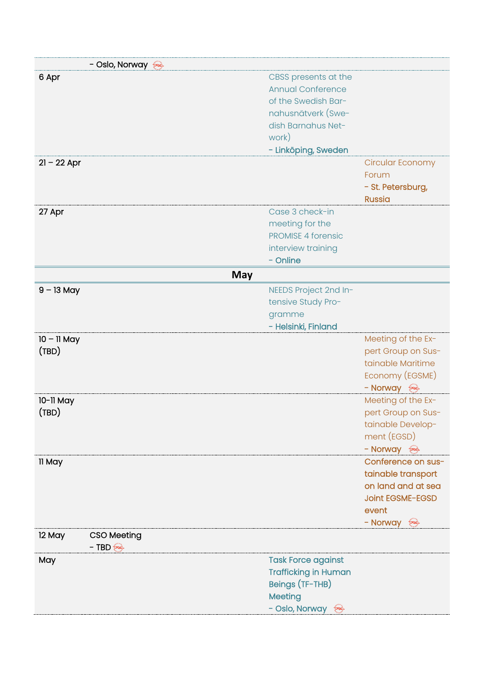| - Oslo, Norway               |                             |                         |
|------------------------------|-----------------------------|-------------------------|
| 6 Apr                        | CBSS presents at the        |                         |
|                              | <b>Annual Conference</b>    |                         |
|                              | of the Swedish Bar-         |                         |
|                              | nahusnätverk (Swe-          |                         |
|                              | dish Barnahus Net-          |                         |
|                              | work)                       |                         |
|                              | - Linköping, Sweden         |                         |
| $21 - 22$ Apr                |                             | Circular Economy        |
|                              |                             | Forum                   |
|                              |                             | - St. Petersburg,       |
|                              |                             | <b>Russia</b>           |
| 27 Apr                       | Case 3 check-in             |                         |
|                              | meeting for the             |                         |
|                              | <b>PROMISE 4 forensic</b>   |                         |
|                              | interview training          |                         |
|                              | - Online                    |                         |
| <b>May</b>                   |                             |                         |
| $9 - 13$ May                 | NEEDS Project 2nd In-       |                         |
|                              | tensive Study Pro-          |                         |
|                              | gramme                      |                         |
|                              | - Helsinki, Finland         |                         |
| $10 - 11$ May                |                             | Meeting of the Ex-      |
| (TBD)                        |                             | pert Group on Sus-      |
|                              |                             | tainable Maritime       |
|                              |                             | Economy (EGSME)         |
|                              |                             | - Norway as             |
| 10-11 May                    |                             | Meeting of the Ex-      |
| (TBD)                        |                             | pert Group on Sus-      |
|                              |                             | tainable Develop-       |
|                              |                             | ment (EGSD)             |
|                              |                             | - Norway as             |
| 11 May                       |                             | Conference on sus-      |
|                              |                             | tainable transport      |
|                              |                             | on land and at sea      |
|                              |                             | <b>Joint EGSME-EGSD</b> |
|                              |                             | event                   |
|                              |                             | - Norway as             |
| <b>CSO Meeting</b><br>12 May |                             |                         |
| $-$ TBD $\circledast$        |                             |                         |
| May                          | <b>Task Force against</b>   |                         |
|                              | <b>Trafficking in Human</b> |                         |
|                              | Beings (TF-THB)             |                         |
|                              | Meeting                     |                         |
|                              | - Oslo, Norway              |                         |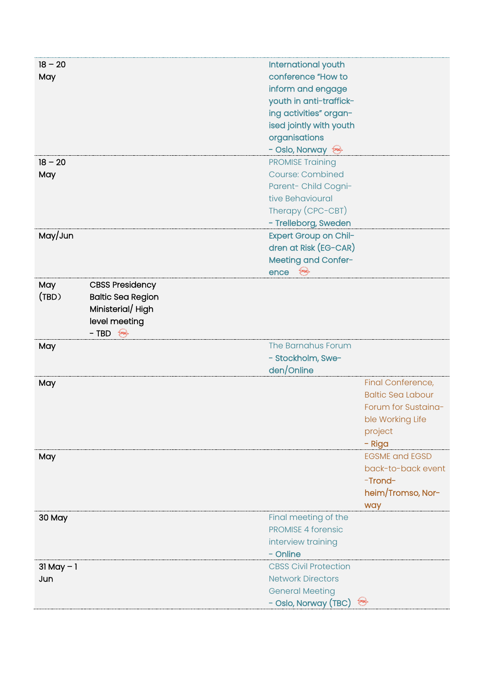| $18 - 20$     |                          | International youth          |                          |
|---------------|--------------------------|------------------------------|--------------------------|
| May           |                          | conference "How to           |                          |
|               |                          | inform and engage            |                          |
|               |                          | youth in anti-traffick-      |                          |
|               |                          | ing activities" organ-       |                          |
|               |                          | ised jointly with youth      |                          |
|               |                          | organisations                |                          |
|               |                          | - Oslo, Norway               |                          |
| $18 - 20$     |                          | <b>PROMISE Training</b>      |                          |
| May           |                          | <b>Course: Combined</b>      |                          |
|               |                          | Parent- Child Cogni-         |                          |
|               |                          | tive Behavioural             |                          |
|               |                          | Therapy (CPC-CBT)            |                          |
|               |                          | - Trelleborg, Sweden         |                          |
| May/Jun       |                          | Expert Group on Chil-        |                          |
|               |                          | dren at Risk (EG-CAR)        |                          |
|               |                          | Meeting and Confer-          |                          |
|               |                          | ence<br><b>tard</b>          |                          |
| May           | <b>CBSS Presidency</b>   |                              |                          |
| (TBD)         | <b>Baltic Sea Region</b> |                              |                          |
|               | Ministerial/High         |                              |                          |
|               | level meeting            |                              |                          |
|               | $- TBD$                  |                              |                          |
| May           |                          | The Barnahus Forum           |                          |
|               |                          | - Stockholm, Swe-            |                          |
|               |                          | den/Online                   |                          |
| May           |                          |                              | Final Conference,        |
|               |                          |                              | <b>Baltic Sea Labour</b> |
|               |                          |                              | Forum for Sustaina-      |
|               |                          |                              | ble Working Life         |
|               |                          |                              | project                  |
|               |                          |                              | - Riga                   |
| May           |                          |                              | <b>EGSME and EGSD</b>    |
|               |                          |                              | back-to-back event       |
|               |                          |                              | -Trond-                  |
|               |                          |                              | heim/Tromso, Nor-        |
|               |                          |                              | way                      |
| 30 May        |                          | Final meeting of the         |                          |
|               |                          | <b>PROMISE 4 forensic</b>    |                          |
|               |                          | interview training           |                          |
|               |                          | - Online                     |                          |
| $31$ May $-1$ |                          | <b>CBSS Civil Protection</b> |                          |
| Jun           |                          | <b>Network Directors</b>     |                          |
|               |                          |                              |                          |
|               |                          | <b>General Meeting</b>       |                          |